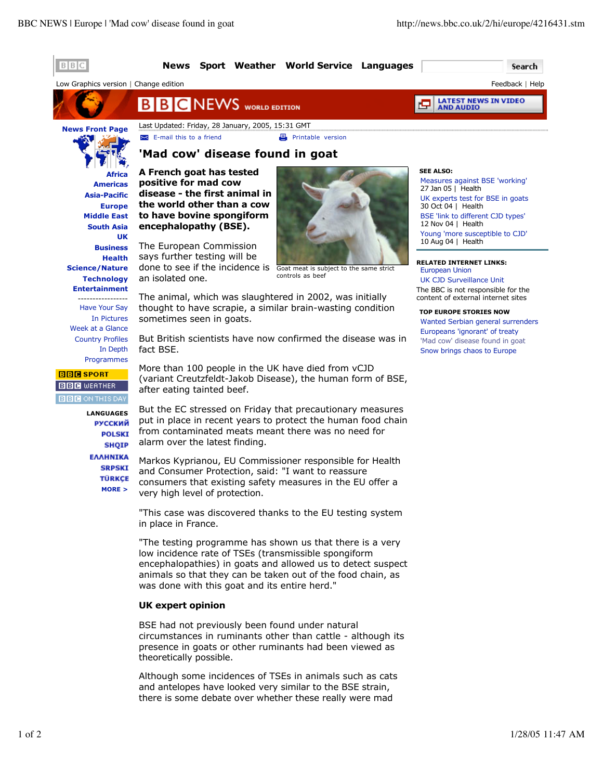

theoretically possible.

Although some incidences of TSEs in animals such as cats and antelopes have looked very similar to the BSE strain, there is some debate over whether these really were mad